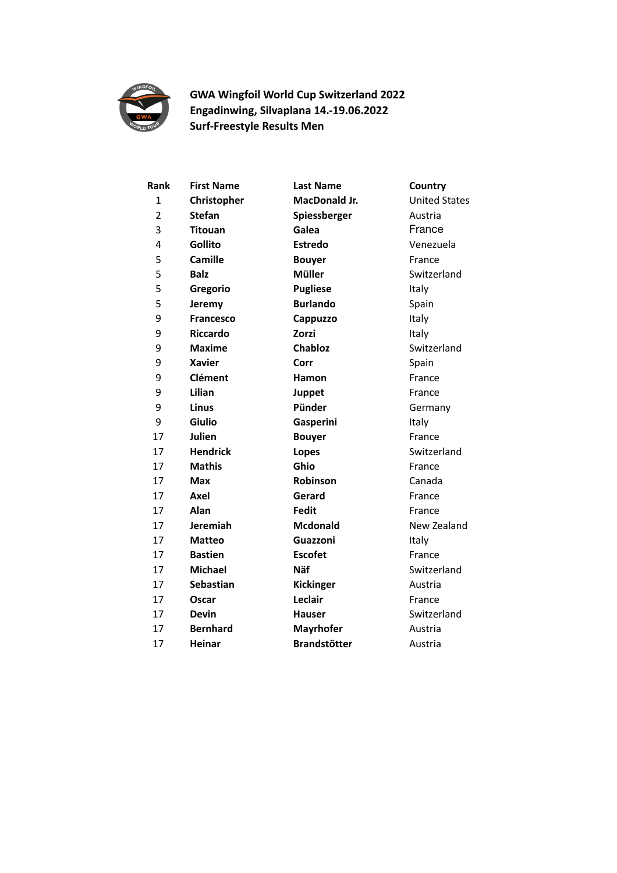

**GWA Wingfoil World Cup Switzerland 2022 Engadinwing, Silvaplana 14.-19.06.2022 Surf-Freestyle Results Men**

| Rank           | <b>First Name</b> | <b>Last Name</b>     | Country              |
|----------------|-------------------|----------------------|----------------------|
| 1              | Christopher       | <b>MacDonald Jr.</b> | <b>United States</b> |
| $\overline{2}$ | <b>Stefan</b>     | Spiessberger         | Austria              |
| 3              | <b>Titouan</b>    | Galea                | France               |
| 4              | <b>Gollito</b>    | <b>Estredo</b>       | Venezuela            |
| 5              | <b>Camille</b>    | <b>Bouyer</b>        | France               |
| 5              | <b>Balz</b>       | <b>Müller</b>        | Switzerland          |
| 5              | Gregorio          | <b>Pugliese</b>      | Italy                |
| 5              | Jeremy            | <b>Burlando</b>      | Spain                |
| 9              | <b>Francesco</b>  | Cappuzzo             | Italy                |
| 9              | <b>Riccardo</b>   | Zorzi                | Italy                |
| 9              | <b>Maxime</b>     | <b>Chabloz</b>       | Switzerland          |
| 9              | <b>Xavier</b>     | Corr                 | Spain                |
| 9              | <b>Clément</b>    | Hamon                | France               |
| 9              | Lilian            | Juppet               | France               |
| 9              | Linus             | Pünder               | Germany              |
| 9              | <b>Giulio</b>     | Gasperini            | Italy                |
| 17             | Julien            | <b>Bouyer</b>        | France               |
| 17             | <b>Hendrick</b>   | Lopes                | Switzerland          |
| 17             | <b>Mathis</b>     | Ghio                 | France               |
| 17             | Max               | Robinson             | Canada               |
| 17             | Axel              | Gerard               | France               |
| 17             | Alan              | <b>Fedit</b>         | France               |
| 17             | Jeremiah          | <b>Mcdonald</b>      | New Zealand          |
| 17             | <b>Matteo</b>     | Guazzoni             | Italy                |
| 17             | <b>Bastien</b>    | <b>Escofet</b>       | France               |
| 17             | <b>Michael</b>    | <b>Näf</b>           | Switzerland          |
| 17             | <b>Sebastian</b>  | <b>Kickinger</b>     | Austria              |
| 17             | Oscar             | Leclair              | France               |
| 17             | <b>Devin</b>      | <b>Hauser</b>        | Switzerland          |
| 17             | <b>Bernhard</b>   | <b>Mayrhofer</b>     | Austria              |
| 17             | <b>Heinar</b>     | <b>Brandstötter</b>  | Austria              |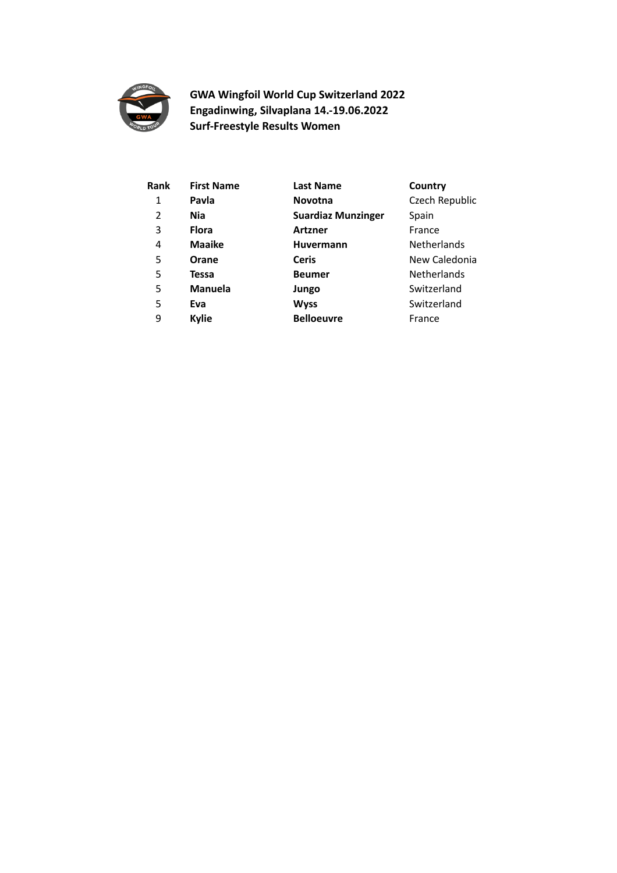

**GWA Wingfoil World Cup Switzerland 2022 Engadinwing, Silvaplana 14.-19.06.2022 Surf-Freestyle Results Women**

| Rank | <b>First Name</b> | <b>Last Name</b>          | Country            |
|------|-------------------|---------------------------|--------------------|
| 1    | Pavla             | <b>Novotna</b>            | Czech Republic     |
| 2    | <b>Nia</b>        | <b>Suardiaz Munzinger</b> | Spain              |
| 3    | <b>Flora</b>      | <b>Artzner</b>            | France             |
| 4    | <b>Maaike</b>     | <b>Huvermann</b>          | Netherlands        |
| 5    | Orane             | <b>Ceris</b>              | New Caledonia      |
| 5    | Tessa             | <b>Beumer</b>             | <b>Netherlands</b> |
| 5    | <b>Manuela</b>    | Jungo                     | Switzerland        |
| 5    | Eva               | <b>Wyss</b>               | Switzerland        |
| 9    | <b>Kylie</b>      | <b>Belloeuvre</b>         | France             |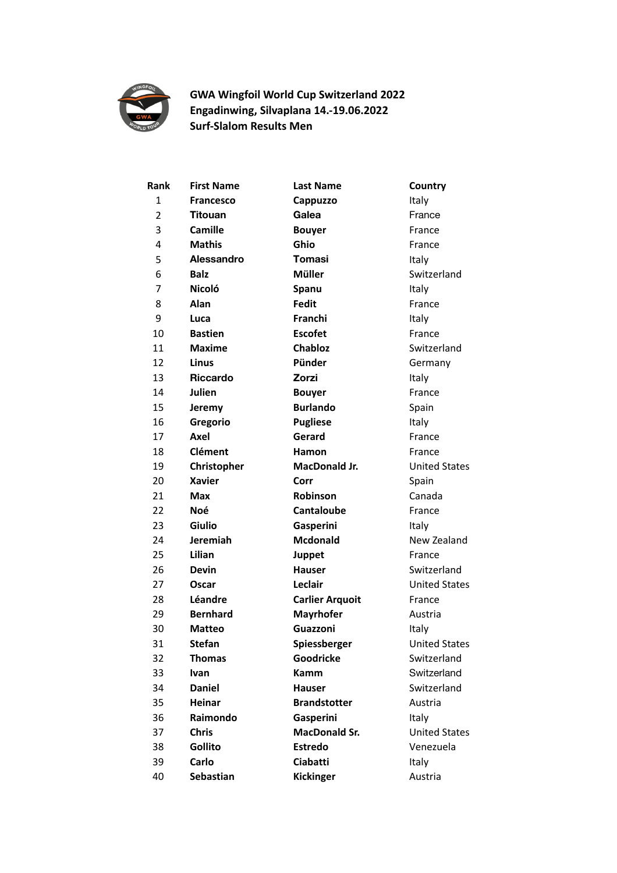

## **GWA Wingfoil World Cup Switzerland 2022 Engadinwing, Silvaplana 14.-19.06.2022 Surf-Slalom Results Men**

| Rank         | <b>First Name</b> | <b>Last Name</b>       | Country              |
|--------------|-------------------|------------------------|----------------------|
| $\mathbf{1}$ | <b>Francesco</b>  | Cappuzzo               | Italy                |
| 2            | <b>Titouan</b>    | Galea                  | France               |
| 3            | Camille           | <b>Bouyer</b>          | France               |
| 4            | <b>Mathis</b>     | Ghio                   | France               |
| 5            | Alessandro        | Tomasi                 | Italy                |
| 6            | <b>Balz</b>       | Müller                 | Switzerland          |
| 7            | Nicoló            | Spanu                  | Italy                |
| 8            | Alan              | <b>Fedit</b>           | France               |
| 9            | Luca              | Franchi                | Italy                |
| 10           | <b>Bastien</b>    | <b>Escofet</b>         | France               |
| 11           | <b>Maxime</b>     | Chabloz                | Switzerland          |
| 12           | Linus             | Pünder                 | Germany              |
| 13           | <b>Riccardo</b>   | Zorzi                  | Italy                |
| 14           | Julien            | <b>Bouyer</b>          | France               |
| 15           | Jeremy            | <b>Burlando</b>        | Spain                |
| 16           | Gregorio          | <b>Pugliese</b>        | Italy                |
| 17           | Axel              | Gerard                 | France               |
| 18           | <b>Clément</b>    | Hamon                  | France               |
| 19           | Christopher       | <b>MacDonald Jr.</b>   | <b>United States</b> |
| 20           | <b>Xavier</b>     | Corr                   | Spain                |
| 21           | Max               | Robinson               | Canada               |
| 22           | Noé               | <b>Cantaloube</b>      | France               |
| 23           | <b>Giulio</b>     | Gasperini              | Italy                |
| 24           | Jeremiah          | <b>Mcdonald</b>        | New Zealand          |
| 25           | Lilian            | Juppet                 | France               |
| 26           | <b>Devin</b>      | <b>Hauser</b>          | Switzerland          |
| 27           | Oscar             | Leclair                | <b>United States</b> |
| 28           | Léandre           | <b>Carlier Arquoit</b> | France               |
| 29           | <b>Bernhard</b>   | <b>Mayrhofer</b>       | Austria              |
| 30           | <b>Matteo</b>     | Guazzoni               | Italy                |
| 31           | Stefan            | Spiessberger           | United States        |
| 32           | <b>Thomas</b>     | Goodricke              | Switzerland          |
| 33           | <b>Ivan</b>       | Kamm                   | Switzerland          |
| 34           | <b>Daniel</b>     | <b>Hauser</b>          | Switzerland          |
| 35           | <b>Heinar</b>     | <b>Brandstotter</b>    | Austria              |
| 36           | Raimondo          | Gasperini              | Italy                |
| 37           | <b>Chris</b>      | <b>MacDonald Sr.</b>   | <b>United States</b> |
| 38           | Gollito           | <b>Estredo</b>         | Venezuela            |
| 39           | Carlo             | Ciabatti               | Italy                |
| 40           | Sebastian         | Kickinger              | Austria              |